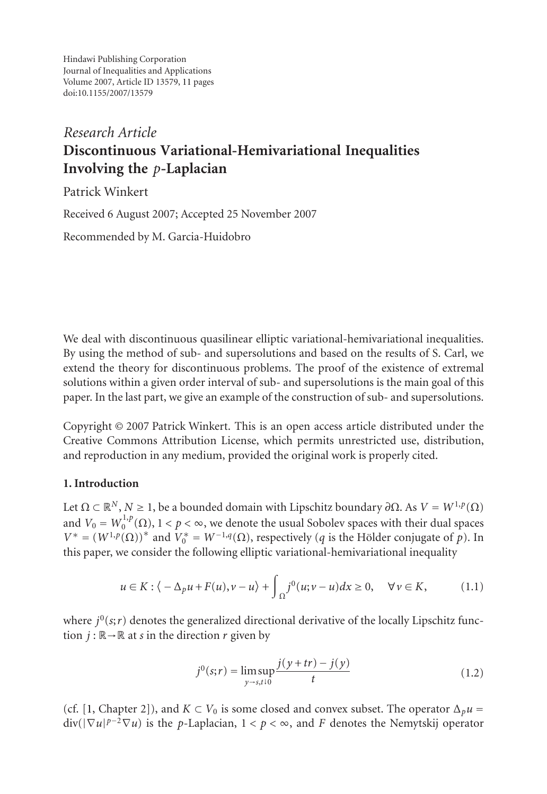Hindawi Publishing Corporation Journal of Inequalities and Applications Volume 2007, Article ID 13579, 11 pages doi:10.1155/2007/13579

# *Research Article* **Discontinuous Variational-Hemivariational Inequalities Involving the** *p***-Laplacian**

Patrick Winkert

Received 6 August 2007; Accepted 25 November 2007

Recommended by M. Garcia-Huidobro

We deal with discontinuous quasilinear elliptic variational-hemivariational inequalities. By using the method of sub- and supersolutions and based on the results of S. Carl, we extend the theory for discontinuous problems. The proof of the existence of extremal solutions within a given order interval of sub- and supersolutions is the main goal of this paper. In the last part, we give an example of the construction of sub- and supersolutions.

Copyright © 2007 Patrick Winkert. This is an open access article distributed under the Creative Commons Attribution License, which permits unrestricted use, distribution, and reproduction in any medium, provided the original work is properly cited.

### **1. Introduction**

Let  $\Omega \subset \mathbb{R}^N$ ,  $N \geq 1$ , be a bounded domain with Lipschitz boundary  $\partial \Omega$ . As  $V = W^{1,p}(\Omega)$ and  $V_0 = W_0^{1,p}(\Omega), 1 < p < \infty,$  we denote the usual Sobolev spaces with their dual spaces  $V^* = (W^{1,p}(\Omega))^*$  and  $V_0^* = W^{-1,q}(\Omega)$ , respectively (*q* is the Hölder conjugate of *p*). In this paper, we consider the following elliptic variational-hemivariational inequality

$$
u \in K : \langle -\Delta_p u + F(u), v - u \rangle + \int_{\Omega} j^0(u; v - u) dx \ge 0, \quad \forall v \in K,
$$
 (1.1)

where  $j^0$ ( $s; r$ ) denotes the generalized directional derivative of the locally Lipschitz function  $j : \mathbb{R} \to \mathbb{R}$  at *s* in the direction *r* given by

<span id="page-0-0"></span>
$$
j^{0}(s;r) = \limsup_{y \to s,t \downarrow 0} \frac{j(y+tr) - j(y)}{t}
$$
 (1.2)

(cf. [1, Chapter 2]), and  $K \subset V_0$  is some closed and convex subset. The operator  $\Delta_p u =$  $div(|\nabla u|^{p-2}\nabla u)$  is the *p*-Laplacian,  $1 < p < \infty$ , and *F* denotes the Nemytskij operator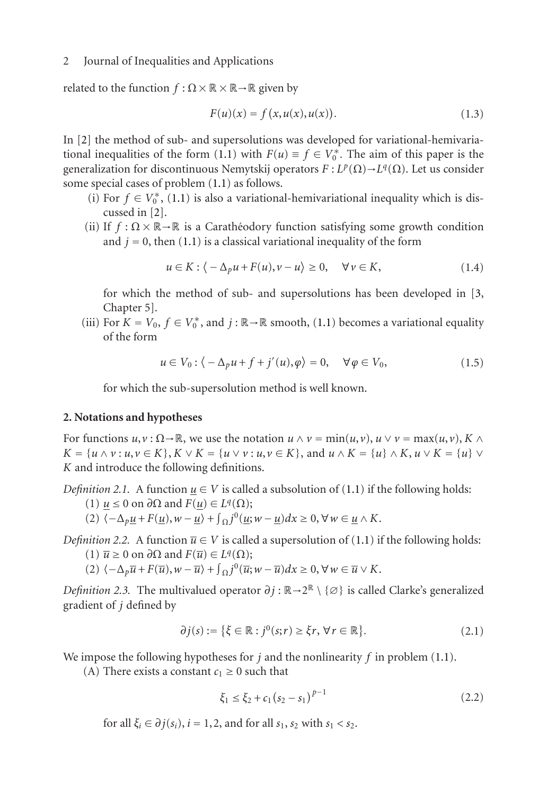related to the func[tio](#page-9-0)n  $f : \Omega \times \mathbb{R} \times \mathbb{R} \to \mathbb{R}$  given by

$$
F(u)(x) = f(x, u(x), u(x)).
$$
\n(1.3)

In [2] the method of sub- and supersolutions was developed for variational-hemivariational inequalities of t[he](#page-9-1) form (1.1) with  $F(u) \equiv f \in V_0^*$ . The aim of this paper is the generalization for discontinuous Nemytskij operators  $F: L^p(\Omega) \to L^q(\Omega)$ . Let us consider some special cases of problem (1.1) as follows.

- (i) For  $f \in V_0^*$ , (1.1) is also a variational-hem[ivari](#page-0-0)ational inequality which is discussed in [2].
- (ii) If  $f : \Omega \times \mathbb{R} \to \mathbb{R}$  is a Caratheodory function satisfying some growth condition and  $j = 0$ , then (1.1) is a classical variational inequality of the form

$$
u \in K : \langle -\Delta_p u + F(u), v - u \rangle \ge 0, \quad \forall v \in K,
$$
\n(1.4)

for which the method of sub- and supersolutions has been developed in [3, Chapter 5].

(iii) For  $K = V_0$ ,  $f \in V_0^*$ , and  $j : \mathbb{R} \to \mathbb{R}$  smooth, (1.1) becomes a variational equality of the form

$$
u \in V_0: \langle -\Delta_p u + f + j'(u), \varphi \rangle = 0, \quad \forall \varphi \in V_0,
$$
\n(1.5)

for which the sub-supersolution method is well known.

#### **2. Notations and hypotheses**

For functions  $u, v: \Omega \to \mathbb{R}$ , we use the notation  $u \wedge v = \min(u, v), u \vee v = \max(u, v), K \wedge$ *K* = { $u \wedge v : u, v \in K$ },  $K \vee K = \{u \vee v : u, v \in K\}$ , and  $u \wedge K = \{u\} \wedge K$ ,  $u \vee K = \{u\} \vee$ *K* and introduce the following definitions.

*Definition 2.1.* A function  $u \in V$  is called a subsolution of (1.1) if the following holds:

- (1) *u* ≤ 0 on *∂*Ω and *F*(*u*) ∈ *Lq*(Ω);
- $(2) \langle -\Delta_p \underline{u} + F(\underline{u}), w \underline{u} \rangle + \int_{\Omega} j^0(\underline{u}; w \underline{u}) dx \ge 0, \forall w \in \underline{u} \wedge K.$
- *Definition 2.2.* A function  $\overline{u} \in V$  is called a supersolution of (1.1) if the following holds: (1)  $\overline{u}$  ≥ 0 on  $\partial\Omega$  and  $F(\overline{u}) \in L<sup>q</sup>(\Omega)$ ;
	- $(2) \langle -\Delta_p \overline{u} + F(\overline{u}), w \overline{u} \rangle + \int_{\Omega} j^0(\overline{u}; w \overline{u}) dx \ge 0, \forall w \in \overline{u} \vee K.$

*Definition 2.3.* The multivalued operator  $\partial j : \mathbb{R} \to 2^{\mathbb{R}} \setminus \{ \emptyset \}$  is called Clarke's generalized gradient of *j* defined by

$$
\partial j(s) := \{ \xi \in \mathbb{R} : j^0(s; r) \ge \xi r, \forall r \in \mathbb{R} \}. \tag{2.1}
$$

We impose the following hypotheses for *j* and the nonlinearity *f* in problem (1.1).

(A) There exists a constant  $c_1 \geq 0$  such that

$$
\xi_1 \le \xi_2 + c_1 (s_2 - s_1)^{p-1} \tag{2.2}
$$

for all  $\xi_i \in \partial j(s_i)$ ,  $i = 1, 2$ , and for all  $s_1$ ,  $s_2$  with  $s_1 < s_2$ .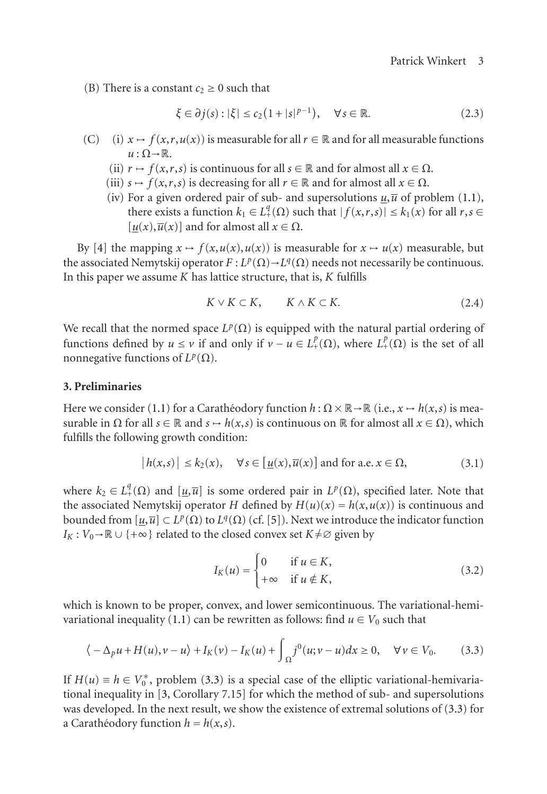(B) There is a constant  $c_2 \geq 0$  such that

$$
\xi \in \partial j(s) : |\xi| \le c_2 \left( 1 + |s|^{p-1} \right), \quad \forall s \in \mathbb{R}.
$$
\n(2.3)

- (C) (i)  $x \mapsto f(x, r, u(x))$  is measurable for all  $r \in \mathbb{R}$  and for all measurable functions  $u : \Omega \rightarrow \mathbb{R}$ .
	- (ii)  $r \mapsto f(x,r,s)$  is continuous for all  $s \in \mathbb{R}$  and for almost all  $x \in \Omega$ .
	- (iii)  $s \mapsto f(x, r, s)$  is decreasing for all  $r \in \mathbb{R}$  and for almost all  $x \in \Omega$ .
	- (iv) For a given ordered pair of sub- and supersolutions  $\mu$ ,  $\bar{u}$  of problem (1.1), there exists a function  $k_1 \in L^q_+(\Omega)$  such that  $|f(x,r,s)| \leq k_1(x)$  for all  $r,s \in$  $[u(x), \overline{u}(x)]$  and for almost all  $x \in \Omega$ .

By [4] the mapping  $x \mapsto f(x, u(x), u(x))$  is measurable for  $x \mapsto u(x)$  measurable, but the associated Nemytskij operator  $F: L^p(\Omega) \to L^q(\Omega)$  needs not necessarily be continuous. In this paper we a[ssum](#page-0-0)e *K* has lattice structure, that is, *K* fulfills

<span id="page-2-2"></span>
$$
K \vee K \subset K, \qquad K \wedge K \subset K. \tag{2.4}
$$

We recall that the normed space  $L^p(\Omega)$  is equipped with the natural partial ordering of functions defined by  $u \le v$  if and only if  $v - u \in L^p_+(\Omega)$ , where  $L^p_+(\Omega)$  is the set of all nonnegative functions of  $L^p(\Omega)$ .

#### **3. Preliminaries**

Here we consider (1.1) for a Caratheodory function  $h : \Omega \times \mathbb{R} \to \mathbb{R}$  (i.e.,  $x \mapsto h(x, s)$  is measurable in  $\Omega$  for all  $s \in \mathbb{R}$  and  $s \mapsto h(x, s)$  is continuous on  $\mathbb{R}$  for almost all  $x \in \Omega$ ), which fulfills the following growth condition:

$$
|h(x,s)| \le k_2(x), \quad \forall s \in [\underline{u}(x), \overline{u}(x)] \text{ and for a.e. } x \in \Omega,
$$
 (3.1)

where  $k_2 \in L^q_+(\Omega)$  and  $[\underline{u}, \overline{u}]$  is some ordered pair in  $L^p(\Omega)$ , specified later. Note that the associated Nemytskij operator *H* defined by  $H(u)(x) = h(x, u(x))$  is continuous and bounded from [*u*,*u*] ⊂ *Lp*(Ω) to *Lq*(Ω) (cf. [5]). Next we introduce the indicator function *I<sub>K</sub>* : *V*<sub>0</sub>→R ∪ {+∞} related to the closed convex set *K*  $\neq$  ⊘ given by

<span id="page-2-0"></span>
$$
I_K(u) = \begin{cases} 0 & \text{if } u \in K, \\ +\infty & \text{if } u \notin K, \end{cases}
$$
 (3.2)

<span id="page-2-1"></span>which is known to be proper, convex, and lower semicontinuous. The variational-hemivariational inequality (1.1) can be rewritten as follows: find  $u \in V_0$  such that

$$
\langle -\Delta_p u + H(u), v - u \rangle + I_K(v) - I_K(u) + \int_{\Omega} j^0(u; v - u) dx \ge 0, \quad \forall v \in V_0.
$$
 (3.3)

If  $H(u) \equiv h \in V_0^*$ , problem (3.3) is a special case of the elliptic variational-hemivariational inequality in [3, Corollary 7.15] for which the method of sub- and supersolutions was developed. In the next result, we show the existence of extremal solutions of (3.3) for a Carathéodory function  $h = h(x, s)$ .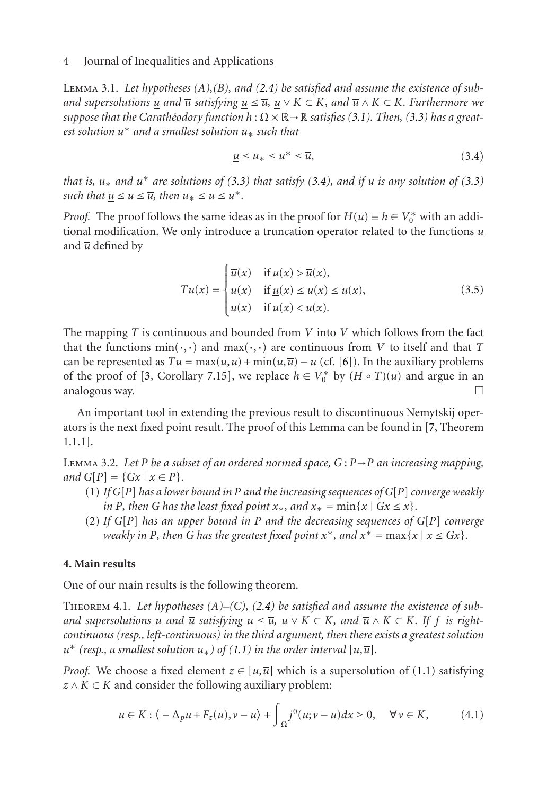Lemma 3.1. *Let hypotheses (A),(B), and (2.4) be satisfied and assume the existence of suband supersolutions u and*  $\overline{u}$  *satisfying*  $u ≤ \overline{u}$ ,  $u ∨ K ⊂ K$ , *and*  $\overline{u} ∧ K ⊂ K$ *. Furthermore we suppose that the Carathéodory function*  $h : \Omega \times \mathbb{R} \rightarrow \mathbb{R}$  *satisfies* (3.1). Then, (3.3) has a great*est solution u*<sup>∗</sup> *and a smallest solution u*<sup>∗</sup> *such that*

$$
\underline{u} \le u_* \le u^* \le \overline{u},\tag{3.4}
$$

*that is,*  $u_*$  *and*  $u^*$  *are solutions of (3.3) that satisfy (3.4), and if u is any solution of (3.3) such that*  $\underline{u} \le u \le \overline{u}$ *, then*  $u_* \le u \le u^*$ *.* 

*Proof.* The proof follows the same ideas as in the proof for  $H(u) \equiv h \in V_0^*$  with an additional modification. We only introduce a truncation oper[ato](#page-10-0)r related to the functions *u* and  $\overline{u}$  defined by

$$
Tu(x) = \begin{cases} \overline{u}(x) & \text{if } u(x) > \overline{u}(x), \\ u(x) & \text{if } \underline{u}(x) \le u(x) \le \overline{u}(x), \\ \underline{u}(x) & \text{if } u(x) < \underline{u}(x). \end{cases}
$$
(3.5)

<span id="page-3-2"></span>The mapping *T* is continuous and bounded from *V* into *V* which follows from the fact that the functions  $min(\cdot, \cdot)$  and  $max(\cdot, \cdot)$  are continuous from *V* to itself and that *T* can be represented as  $Tu = \max(u, u) + \min(u, \overline{u}) - u$  (cf. [6]). In the auxiliary problems of the proof of [3, Corollary 7.15], we replace  $h \in V_0^*$  by  $(H \circ T)(u)$  and argue in an analogous way.  $\Box$ 

An important tool in extending the previous result to discontinuous Nemytskij operators is the next fixed point result. The proof of this Lemma can be found in [7, Theorem 1.1.1].

<span id="page-3-1"></span>Lemma 3.2. *Let P be a subset of an ordered normed space, G* : *P*→*P an increasing mapping, and*  $G[P] = \{Gx \mid x \in P\}.$ 

- (1) *If G*[*P*] *has a lower bound in P and the increasing sequences of G*[*P*]*converge weakly in P, then G has the least fixed point*  $x_*$ *, and*  $x_* = \min\{x \mid Gx \leq x\}$ *.*
- (2) *If G*[*P*] *has an upper boun[d in](#page-0-0) P and the decreasing sequences of G*[*P*] *converge weakly in P, then G has the greatest fi[x](#page-0-0)ed point*  $x^*$ *, and*  $x^* = \max\{x \mid x \le Gx\}$ *.*

## **4. Main results**

One of our main results is the following theorem.

Theorem 4.1. *Let hypotheses (A)–(C), (2.4) be satisfied and assume the existence of suband supersolutions u and*  $\overline{u}$  *satisfying*  $u \leq \overline{u}$ ,  $u \vee K \subset K$ , *and*  $\overline{u} \wedge K \subset K$ . If f *is rightcontinuous (resp., left-continuous) in the third argument, then there exists a greatest solution*  $u^*$  (resp., a smallest solution  $u_*$ ) of (1.1) in the order interval [ $u,\overline{u}$ ].

*Proof.* We choose a fixed element  $z \in [u, \overline{u}]$  which is a supersolution of (1.1) satisfying  $z \wedge K \subset K$  and consider the following auxiliary problem:

<span id="page-3-0"></span>
$$
u \in K : \langle -\Delta_p u + F_z(u), v - u \rangle + \int_{\Omega} j^0(u; v - u) dx \ge 0, \quad \forall v \in K,
$$
 (4.1)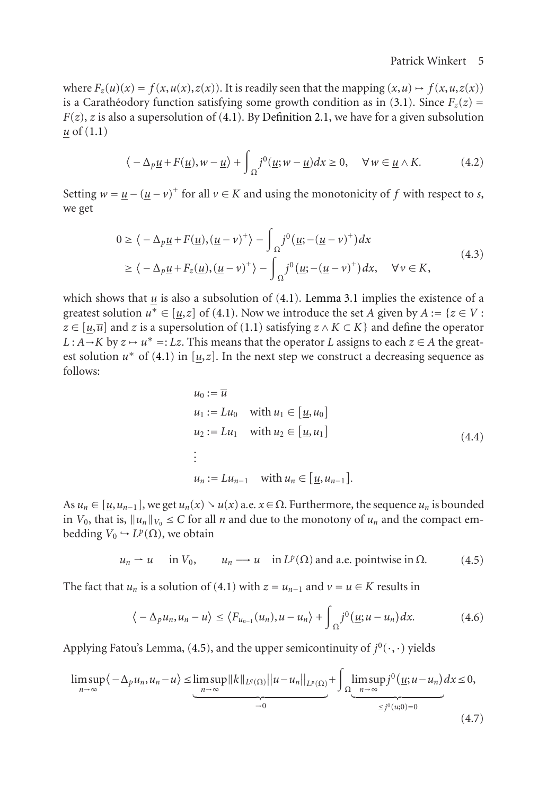where  $F_z(u)(x) = f(x, u(x), z(x))$ . It is readily seen that the mapping  $(x, u) \mapsto f(x, u, z(x))$ is a Caratheodory function satisfying some growth condition as in (3.1). Since  $F_z(z)$  =  $F(z)$ , *z* is also a supersolution of (4.1). By Definition 2.1, we have for a given subsolution *u* of (1.1)

$$
\langle -\Delta_p \underline{u} + F(\underline{u}), w - \underline{u} \rangle + \int_{\Omega} j^0(\underline{u}; w - \underline{u}) dx \ge 0, \quad \forall w \in \underline{u} \wedge K. \tag{4.2}
$$

Setting  $w = \underline{u} - (\underline{u} - v)^+$  for all  $v \in K$  [and](#page-0-0) using the monotonicity of f with respect to *s*, we get

$$
0 \ge \langle -\Delta_p \underline{u} + F(\underline{u}), (\underline{u} - v)^+ \rangle - \int_{\Omega} j^0 (\underline{u}; -(\underline{u} - v)^+) dx
$$
  
 
$$
\ge \langle -\Delta_p \underline{u} + F_z(\underline{u}), (\underline{u} - v)^+ \rangle - \int_{\Omega} j^0 (\underline{u}; -(\underline{u} - v)^+) dx, \quad \forall v \in K,
$$
 (4.3)

which shows that  $\underline{u}$  is also a subsolution of (4.1). Lemma 3.1 implies the existence of a greatest solution  $u^* \in [\underline{u}, \underline{z}]$  of (4.1). Now we introduce the set *A* given by  $A := \{z \in V :$ *z* ∈ [ $u$ , $\overline{u}$ ] and *z* is a supersolution of (1.1) satisfying  $z \wedge K \subset K$ } and define the operator  $L : A \rightarrow K$  by  $z \rightarrow u^* =: Lz$ . This means that the operator *L* assigns to each  $z \in A$  the greatest solution  $u^*$  of (4.1) in [ $u, z$ ]. In the next step we construct a decreasing sequence as follows:

<span id="page-4-1"></span><span id="page-4-0"></span>
$$
u_0 := \overline{u}
$$
  
\n
$$
u_1 := Lu_0 \quad \text{with } u_1 \in [\underline{u}, u_0]
$$
  
\n
$$
u_2 := Lu_1 \quad \text{with } u_2 \in [\underline{u}, u_1]
$$
  
\n
$$
\vdots
$$
  
\n
$$
u_n := Lu_{n-1} \quad \text{with } u_n \in [\underline{u}, u_{n-1}].
$$
\n(4.4)

As  $u_n \in [\underline{u}, u_{n-1}]$ , we get  $u_n(x) \setminus u(x)$  a.e.  $x \in \Omega$ . Furthermore, the sequence  $u_n$  is bounded in  $V_0$ , that is,  $||u_n||_{V_0} \leq C$  [for a](#page-4-0)ll *n* and due to the monotony of  $u_n$  and the compact embedding  $V_0 \hookrightarrow L^p(\Omega)$ , we obtain

$$
u_n \rightharpoonup u
$$
 in  $V_0$ ,  $u_n \rightharpoonup u$  in  $L^p(\Omega)$  and a.e. pointwise in  $\Omega$ . (4.5)

The fact that *u<sub>n</sub>* is a solution of (4.1) with  $z = u_{n-1}$  and  $v = u \in K$  results in

$$
\langle -\Delta_p u_n, u_n - u \rangle \le \langle F_{u_{n-1}}(u_n), u - u_n \rangle + \int_{\Omega} j^0(\underline{u}; u - u_n) dx. \tag{4.6}
$$

Applying Fatou's Lemma, (4.5), and the upper semicontinuity of  $j^0(\cdot,\cdot)$  yields

$$
\limsup_{n \to \infty} \langle -\Delta_p u_n, u_n - u \rangle \leq \underbrace{\limsup_{n \to \infty} ||k||_{L^q(\Omega)} ||u - u_n||_{L^p(\Omega)}}_{-0} + \int_{\Omega} \underbrace{\limsup_{n \to \infty} j^0(\underline{u}; u - u_n)}_{\leq j^0(u; 0) = 0} dx \leq 0,
$$
\n(4.7)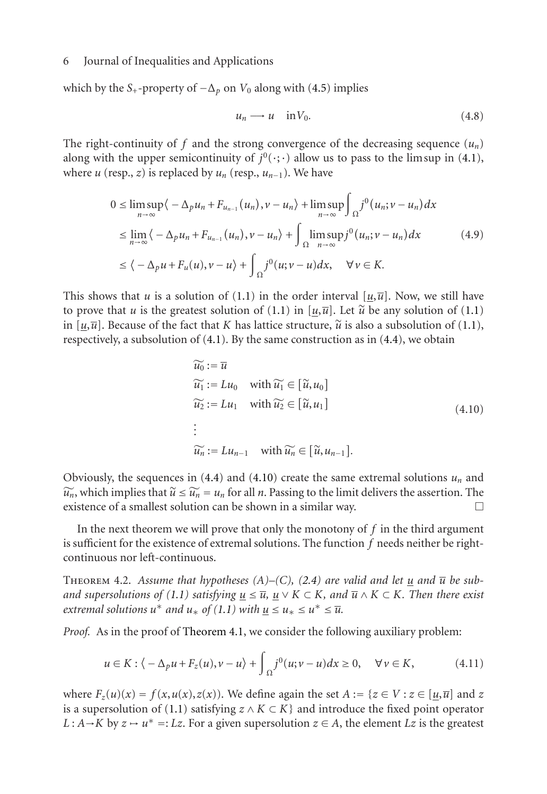which by the *S*<sub>+</sub>-property of  $-\Delta_p$  on *V*<sub>0</sub> along with (4.5) implies

<span id="page-5-0"></span>
$$
u_n \longrightarrow u \quad \text{in} \, V_0. \tag{4.8}
$$

The right-continuity of f and the strong convergence of the decreasing sequence  $(u_n)$ along with the upper semicontinuity of  $j^0$ ( $\cdot$ ; $\cdot$ ) allow us to pass to the lim sup in (4.1), where *u* ([resp](#page-0-0)., *z*) is replaced by  $u_n$  (resp.,  $u_{n-1}$ ). We have

$$
0 \leq \limsup_{n \to \infty} \langle -\Delta_p u_n + F_{u_{n-1}}(u_n), v - u_n \rangle + \limsup_{n \to \infty} \int_{\Omega} j^0(u_n; v - u_n) dx
$$
  
\n
$$
\leq \lim_{n \to \infty} \langle -\Delta_p u_n + F_{u_{n-1}}(u_n), v - u_n \rangle + \int_{\Omega} \limsup_{n \to \infty} j^0(u_n; v - u_n) dx
$$
  
\n
$$
\leq \langle -\Delta_p u + F_u(u), v - u \rangle + \int_{\Omega} j^0(u; v - u) dx, \quad \forall v \in K.
$$
\n(4.9)

This shows that *u* is a solution of (1.1) in the order interval  $[u,\overline{u}]$ . Now, we still have to prove that *u* is the greatest solution of (1.1) in [ $u,\overline{u}$ ]. Let  $\tilde{u}$  be any solution of (1.1) in  $[u,\overline{u}]$ . Because of the fact that *K* has lattice structure,  $\widetilde{u}$  is also a subsolution of (1.1), respectively, a subsolution of [\(4.1](#page-4-1)). By t[he sam](#page-5-0)e construction as in (4.4), we obtain

$$
\widetilde{u_0} := \overline{u}
$$
\n
$$
\widetilde{u_1} := Lu_0 \quad \text{with } \widetilde{u_1} \in [\widetilde{u}, u_0]
$$
\n
$$
\widetilde{u_2} := Lu_1 \quad \text{with } \widetilde{u_2} \in [\widetilde{u}, u_1]
$$
\n
$$
\vdots
$$
\n
$$
\widetilde{u_n} := Lu_{n-1} \quad \text{with } \widetilde{u_n} \in [\widetilde{u}, u_{n-1}].
$$
\n(4.10)

<span id="page-5-1"></span>Obviously, the sequences in  $(4.4)$  and  $(4.10)$  create the same extremal solutions  $u_n$  and  $\widetilde{u}_n$ , which implies that  $\widetilde{u} \le \widetilde{u}_n = u_n$  for all *n*. Passing to the limit delivers the assertion. The existence of a smallest solution can be shown in a similar way existence of a smallest so[lution](#page-3-1) [can](#page-3-1) [be](#page-3-1) shown in a similar way.

In the next theorem we will prove that only the monotony of *f* in the third argument is sufficient for the existence of extremal solutions. The function *f* needs neither be rightcontinuous nor left-continuous.

THEOREM 4.2. Assu[me th](#page-0-0)at hypotheses  $(A)$ – $(C)$ ,  $(2.4)$  are valid and let  $\underline{u}$  and  $\overline{u}$  be sub*and supersolutions of (1.1) satisfying*  $\underline{u} \leq \overline{u}$ ,  $\underline{u} \vee K \subset K$ *, and*  $\overline{u} \wedge K \subset K$ *. Then there exist extremal solutions*  $u^*$  *and*  $u_*$  *of* (1.1) with  $u \le u_* \le u^* \le \overline{u}$ .

*Proof.* As in the proof of Theorem 4.1, we consider the following auxiliary problem:

$$
u \in K : \langle -\Delta_p u + F_z(u), v - u \rangle + \int_{\Omega} j^0(u; v - u) dx \ge 0, \quad \forall v \in K,
$$
 (4.11)

where  $F_z(u)(x) = f(x, u(x), z(x))$ . We define again the set  $A := \{z \in V : z \in [u, \overline{u}] \text{ and } z\}$ is a supersolution of (1.1) satisfying  $z \wedge K \subset K$ } and introduce the fixed point operator *L* : *A* → *K* by  $z \rightarrow u^* =$ : *Lz*. For a given supersolution  $z \in A$ , the element *Lz* is the greatest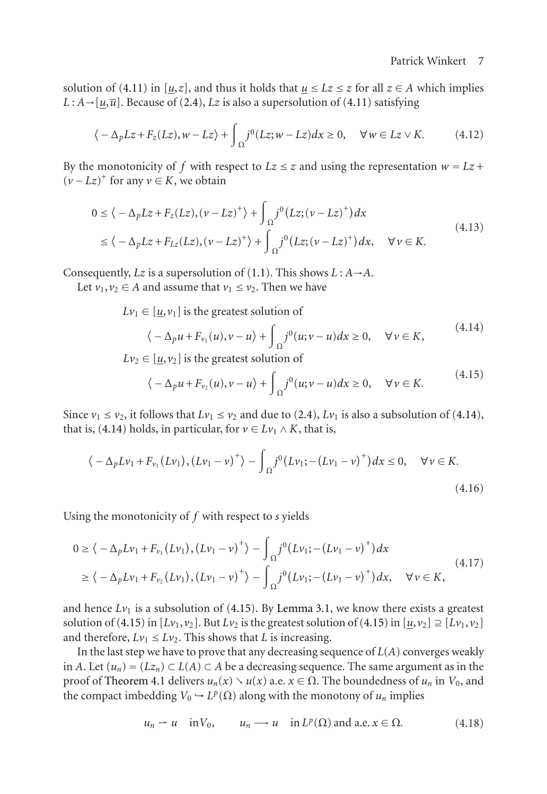solution of (4.11) in [ $\underline{u}, \underline{z}$ ], and thus it holds that  $\underline{u} \leq Lz \leq z$  for all  $z \in A$  which implies *L* : *A*→[ $u$ , $\overline{u}$ ]. Because of (2.4), *Lz* is also a supersolution of (4.11) satisfying

$$
\langle -\Delta_p L z + F_z(Lz), w - L z \rangle + \int_{\Omega} j^0(Lz; w - Lz) dx \ge 0, \quad \forall w \in Lz \vee K. \tag{4.12}
$$

By the monotonicity of f with respect to  $Lz \leq z$  and using the representation  $w = Lz +$  $(v - Lz)^+$  for any  $v \in K$ , we obtain

$$
0 \le \langle -\Delta_p L z + F_z(Lz), (v - Lz)^+ \rangle + \int_{\Omega} j^0(Lz; (v - Lz)^+) dx
$$
  
 
$$
\le \langle -\Delta_p L z + F_{Lz}(Lz), (v - Lz)^+ \rangle + \int_{\Omega} j^0(Lz; (v - Lz)^+) dx, \quad \forall v \in K.
$$
 (4.13)

Consequently, *Lz* is a supersolution of (1.1). This shows  $L : A \rightarrow A$ .

Let  $v_1, v_2 \in A$  $v_1, v_2 \in A$  $v_1, v_2 \in A$  and assume t[ha](#page-2-2)t  $v_1 \le v_2$ . Then [we](#page-2-2) have

 $Lv_1 \in [\underline{u}, v_1]$  is the greatest solution of

<span id="page-6-0"></span>
$$
\langle -\Delta_p u + F_{\nu_1}(u), v - u \rangle + \int_{\Omega} j^0(u; v - u) dx \ge 0, \quad \forall v \in K,
$$
\n(4.14)

 $Lv_2 \in [\underline{u}, v_2]$  is the greatest solution of

$$
\langle -\Delta_p u + F_{\nu_2}(u), v - u \rangle + \int_{\Omega} j^0(u; v - u) dx \ge 0, \quad \forall v \in K. \tag{4.15}
$$

Since  $v_1 \le v_2$ , it follows that  $Lv_1 \le v_2$  and due to (2.4),  $Lv_1$  is also a subsolution of (4.14), that is, (4.14) holds, in particular, for  $v \in Lv_1 \wedge K$ , that is,

$$
\langle -\Delta_p L v_1 + F_{v_1}(L v_1), (L v_1 - v)^+ \rangle - \int_{\Omega} j^0 (L v_1; -(L v_1 - v)^+) dx \le 0, \quad \forall v \in K.
$$
\n(4.16)

Using the monotonicity of *f* with respect to *s* yields

$$
0 \ge \langle -\Delta_p L v_1 + F_{v_1} (L v_1), (L v_1 - v)^+ \rangle - \int_{\Omega} j^0 (L v_1; -(L v_1 - v)^+) dx
$$
  
 
$$
\ge \langle -\Delta_p L v_1 + F_{v_2} (L v_1), (L v_1 - v)^+ \rangle - \int_{\Omega} j^0 (L v_1; -(L v_1 - v)^+) dx, \quad \forall v \in K,
$$
 (4.17)

and hence  $Lv_1$  is a subsolution of  $(4.15)$ . By Lemma 3.1, we know there exists a greatest solution of (4.15) in  $[Lv_1, v_2]$ . But  $Lv_2$  is the greatest solution of (4.15) in  $[\underline{u}, v_2] \supseteq [Lv_1, v_2]$ and therefore,  $Lv_1 \leq Lv_2$ . This shows that *L* is increasing.

In the last step we have to prove that any decreasing sequence of *L*(*A*) converges weakly in *A*. Let  $(u_n) = (Lz_n)$  ⊂  $L(A)$  ⊂ *A* be a decreasing sequence. The same argument as in the proof of Theorem 4.1 delivers  $u_n(x) \setminus u(x)$  a.e.  $x \in \Omega$ . The boundedness of  $u_n$  in  $V_0$ , and the compact imbedding  $V_0 \hookrightarrow L^p(\Omega)$  along with the monotony of  $u_n$  implies

$$
u_n \rightharpoonup u
$$
 in  $V_0$ ,  $u_n \rightharpoonup u$  in  $L^p(\Omega)$  and a.e.  $x \in \Omega$ . (4.18)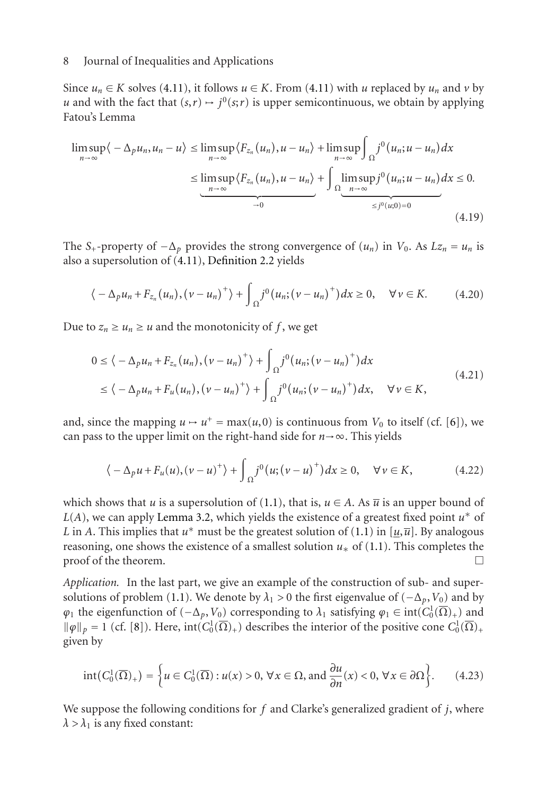Since  $u_n \in K$  solves (4.11), it follows  $u \in K$ . From (4.11) with *u* replaced by  $u_n$  and *v* by *u* and with the fact that  $(s, r) \mapsto j^0(s; r)$  is upper semicontinuous, we obtain by applying Fatou's Lemma

$$
\limsup_{n \to \infty} \langle -\Delta_p u_n, u_n - u \rangle \le \limsup_{n \to \infty} \langle F_{z_n}(u_n), u - u_n \rangle + \limsup_{n \to \infty} \int_{\Omega} j^0(u_n; u - u_n) dx
$$
  

$$
\le \limsup_{n \to \infty} \langle F_{z_n}(u_n), u - u_n \rangle + \int_{\Omega} \limsup_{n \to \infty} j^0(u_n; u - u_n) dx \le 0.
$$
  

$$
\xrightarrow[-10]{}
$$

The *S*<sub>+</sub>-property of  $-\Delta_p$  provides the strong convergence of  $(u_n)$  in  $V_0$ . As  $Lz_n = u_n$  is also a supersolution of (4.11), Definition 2.2 yields

$$
\langle -\Delta_p u_n + F_{z_n}(u_n), (\nu - u_n)^+ \rangle + \int_{\Omega} j^0(u_n; (\nu - u_n)^+) dx \ge 0, \quad \forall \nu \in K. \tag{4.20}
$$

Due to  $z_n \geq u_n \geq u$  and the monotonicity of f, we get

$$
0 \le \langle -\Delta_p u_n + F_{z_n}(u_n), (v - u_n)^+ \rangle + \int_{\Omega} j^0(u_n; (v - u_n)^+) dx
$$
  
 
$$
\le \langle -\Delta_p u_n + F_u(u_n), (v - u_n)^+ \rangle + \int_{\Omega} j^0(u_n; (v - u_n)^+) dx, \quad \forall v \in K,
$$
 (4.21)

and, since the mapping  $u \mapsto u^+ = \max(u, 0)$  is continuous from  $V_0$  $V_0$  to itself (cf. [6]), we can pass to the upper limit on the right-hand side for  $n \rightarrow \infty$ . This yields

$$
\langle -\Delta_p u + F_u(u), (v - u)^+ \rangle + \int_{\Omega} j^0(u; (v - u)^+) dx \ge 0, \quad \forall v \in K,
$$
 (4.22)

which shows t[ha](#page-10-1)t *u* is a supersolution of (1.1), that is,  $u \in A$ . As  $\overline{u}$  is an upper bound of *L*(*A*), we can apply Lemma 3.2, which yields the existence of a greatest fixed point *u*<sup>∗</sup> of *L* in *A*. This implies that  $u^*$  must be the greatest solution of (1.1) in [ $u, \overline{u}$ ]. By analogous reasoning, one shows the existence of a smallest solution  $u_*$  of (1.1). This completes the  $\Box$  proof of the theorem.  $\Box$ 

*Application.* In the last part, we give an example of the construction of sub- and supersolutions of problem (1.1). We denote by  $\lambda_1 > 0$  the first eigenvalue of ( $-\Delta_p$ ,  $V_0$ ) and by  $\varphi_1$  the eigenfunction of  $(-\Delta_p, V_0)$  corresponding to  $\lambda_1$  satisfying  $\varphi_1 \in \text{int}(C_0^1(\overline{\Omega})_+)$  and  $\|\varphi\|_p = 1$  (cf. [8]). Here,  $int(C_0^1(\overline{\Omega})_+)$  describes the interior of the positive cone  $C_0^1(\overline{\Omega})_+$ given by

$$
int(C_0^1(\overline{\Omega})_+) = \left\{ u \in C_0^1(\overline{\Omega}) : u(x) > 0, \,\forall x \in \Omega, \text{ and } \frac{\partial u}{\partial n}(x) < 0, \,\forall x \in \partial \Omega \right\}.
$$
 (4.23)

We suppose the following conditions for *f* and Clarke's generalized gradient of *j*, where  $\lambda > \lambda_1$  is any fixed constant: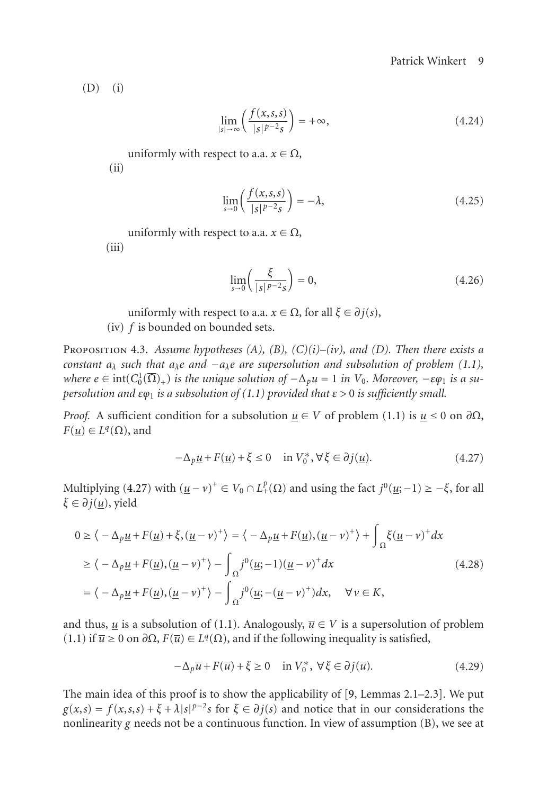$$
(D) (i)
$$

$$
\lim_{|s| \to \infty} \left( \frac{f(x, s, s)}{|s|^{p-2} s} \right) = +\infty, \tag{4.24}
$$

uniformly with respect to a.a.  $x \in \Omega$ ,

<span id="page-8-1"></span>(ii)

$$
\lim_{s \to 0} \left( \frac{f(x, s, s)}{|s|^{p-2} s} \right) = -\lambda, \tag{4.25}
$$

uniformly with respect to a.a.  $x \in \Omega$ ,

 $(iii)$ 

<span id="page-8-0"></span>
$$
\lim_{s \to 0} \left( \frac{\xi}{|s|^{p-2}s} \right) = 0,\tag{4.26}
$$

uniformly with respect to a.a.  $x \in \Omega$ , for all  $\xi \in \partial j(s)$ ,

(iv) *f* is bounded on bounded sets.

Proposition 4.3. *Assume hypotheses (A), (B), (C)(i)–(iv), and (D). Then there exists a constant aλ s[uch](#page-8-0) [t](#page-8-0)hat aλe and* −*aλe are supersolution and subsolution of problem (1.1),*  $where$   $e \in \text{int}(C_0^1(\overline{\Omega})_+)$  *is the unique solution of*  $-\Delta_p u = 1$  *in*  $V_0$ *. Moreover,*  $-\varepsilon \varphi_1$  *is a supersolution and εϕ*<sup>1</sup> *is a subsolution of (1.1) provided that ε >* 0 *is sufficiently small.*

*Proof.* A sufficient condition for a subsolution  $u \in V$  of problem (1.1) is  $u \le 0$  on  $\partial\Omega$ ,  $F(u) \in L<sup>q</sup>(\Omega)$ , and

$$
-\Delta_p \underline{u} + F(\underline{u}) + \xi \le 0 \quad \text{in } V_0^*, \forall \xi \in \partial j(\underline{u}).
$$
\n(4.27)

Multiplying (4.27) with  $(\underline{u} - v)^+ \in V_0 \cap L^p_+(\Omega)$  and using the fact  $j^0(\underline{u}; -1) \ge -\xi$ , for all *ξ* [∈](#page-0-0) *∂j*(*u*), yield

$$
0 \ge \langle -\Delta_p \underline{u} + F(\underline{u}) + \xi, (\underline{u} - \nu)^+ \rangle = \langle -\Delta_p \underline{u} + F(\underline{u}), (\underline{u} - \nu)^+ \rangle + \int_{\Omega} \xi (\underline{u} - \nu)^+ dx
$$
  
\n
$$
\ge \langle -\Delta_p \underline{u} + F(\underline{u}), (\underline{u} - \nu)^+ \rangle - \int_{\Omega} j^0 (\underline{u}; -1) (\underline{u} - \nu)^+ dx
$$
  
\n
$$
= \langle -\Delta_p \underline{u} + F(\underline{u}), (\underline{u} - \nu)^+ \rangle - \int_{\Omega} j^0 (\underline{u}; -(\underline{u} - \nu)^+) dx, \quad \forall \nu \in K,
$$
\n(4.28)

and thus, *u* is a subsolution of (1.1). Analogously,  $\overline{u} \in V$  is a supersolution of problem (1.1) if  $\overline{u} \ge 0$  on  $\partial \Omega$ ,  $F(\overline{u}) \in L<sup>q</sup>(Ω)$ , and if the following inequality is satisfied,

$$
-\Delta_p \overline{u} + F(\overline{u}) + \xi \ge 0 \quad \text{in } V_0^*, \ \forall \xi \in \partial j(\overline{u}).
$$
 (4.29)

The main idea of this proof is to show the applicability of [9, Lemmas 2.1–2.3]. We put  $g(x, s) = f(x, s, s) + \xi + \lambda |s|^{p-2} s$  for  $\xi \in \partial j(s)$  and notice that in our considerations the nonlinearity *g* needs not be a continuous function. In view of assumption (B), we see at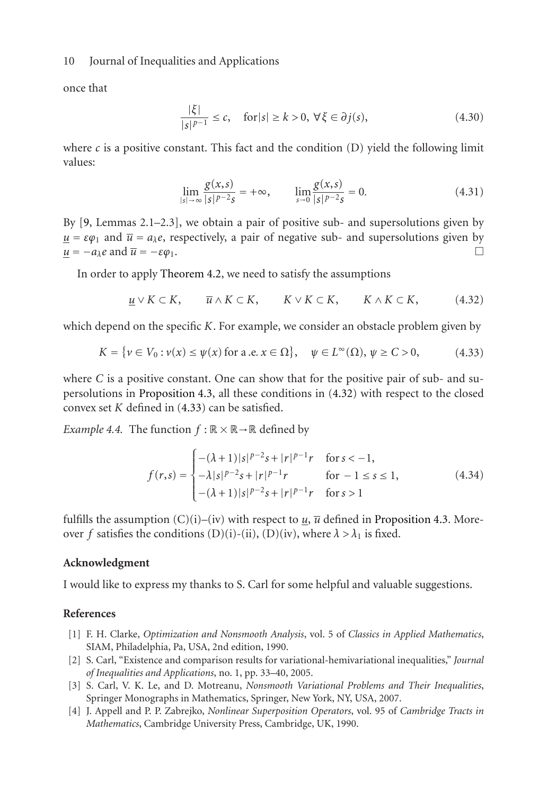onc[e t](#page-10-2)hat

$$
\frac{|\xi|}{|s|^{p-1}} \le c, \quad \text{for } |s| \ge k > 0, \ \forall \xi \in \partial j(s), \tag{4.30}
$$

wh[e](#page-5-1)re  $c$  is a positive [constant.](#page-5-1) [Th](#page-5-1)is fact and the condition (D) yield the following limit values:

<span id="page-9-3"></span><span id="page-9-2"></span>
$$
\lim_{|s| \to \infty} \frac{g(x,s)}{|s|^{p-2}s} = +\infty, \qquad \lim_{s \to 0} \frac{g(x,s)}{|s|^{p-2}s} = 0.
$$
\n(4.31)

By [9, Lemmas 2.1–2.3], we obtain a pair of positive sub- and supersolutions given by  $u = \varepsilon \varphi_1$  and  $\overline{u} = a_\lambda e$ , respectively, a pair of negative sub- and supersolutions given by  $u = -a_\lambda e$  and  $\overline{u} = -\varepsilon \varphi_1$ .

In order to apply [The](#page-8-1)[orem](#page-9-3) [4.](#page-8-1)2, we need to satisfy the [assum](#page-9-2)ptions

$$
\underline{u} \vee K \subset K, \qquad \overline{u} \wedge K \subset K, \qquad K \vee K \subset K, \qquad K \wedge K \subset K, \tag{4.32}
$$

which depend on the specific *K*. For example, we consider an obstacle problem given by

$$
K = \{ \nu \in V_0 : \nu(x) \le \psi(x) \text{ for a.e. } x \in \Omega \}, \quad \psi \in L^{\infty}(\Omega), \psi \ge C > 0,
$$
 (4.33)

where *C* is a positive constant. One can show that for the positive pair of sub- and supersolutions in Proposition 4.3, all these conditions in (4.32) wi[th respect to the](#page-8-1) closed convex set *K* defined in (4.33) can be satisfied.

*Example 4.4.* The function  $f : \mathbb{R} \times \mathbb{R} \rightarrow \mathbb{R}$  defined by

$$
f(r,s) = \begin{cases} -(\lambda + 1)|s|^{p-2}s + |r|^{p-1}r & \text{for } s < -1, \\ -\lambda|s|^{p-2}s + |r|^{p-1}r & \text{for } -1 \le s \le 1, \\ -(\lambda + 1)|s|^{p-2}s + |r|^{p-1}r & \text{for } s > 1 \end{cases}
$$
(4.34)

<span id="page-9-0"></span>fulfills the assumption  $(C)(i)$ –(iv) with respect to  $\underline{u}$ ,  $\overline{u}$  defined in Proposition 4.3. Moreover *f* satisfies the conditions (D)(i)-(ii), (D)(iv), where  $\lambda > \lambda_1$  is fixed.

#### <span id="page-9-1"></span>**Acknowledgment**

I would like to express my thanks to S. Carl for some helpful and valuable suggestions.

### **References**

- [1] F. H. Clarke, *Optimization and Nonsmooth Analysis*, vol. 5 of *Classics in Applied Mathematics*, SIAM, Philadelphia, Pa, USA, 2nd edition, 1990.
- [2] S. Carl, "Existence and comparison results for variational-hemivariational inequalities," *Journal of Inequalities and Applications*, no. 1, pp. 33–40, 2005.
- [3] S. Carl, V. K. Le, and D. Motreanu, *Nonsmooth Variational Problems and Their Inequalities*, Springer Monographs in Mathematics, Springer, New York, NY, USA, 2007.
- [4] J. Appell and P. P. Zabrejko, *Nonlinear Superposition Operators*, vol. 95 of *Cambridge Tracts in Mathematics*, Cambridge University Press, Cambridge, UK, 1990.